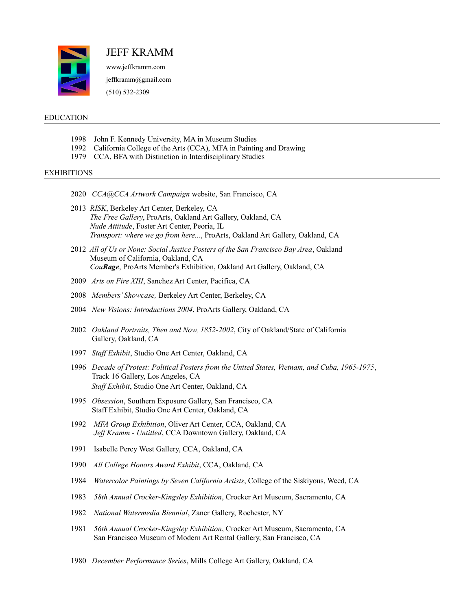

JEFF KRAMM www.jeffkramm.com

jeffkramm@gmail.com

(510) 532-2309

## EDUCATION

- 1998 John F. Kennedy University, MA in Museum Studies
- 1992 California College of the Arts (CCA), MFA in Painting and Drawing
- 1979 CCA, BFA with Distinction in Interdisciplinary Studies

## EXHIBITIONS

- 2020 *CCA@CCA Artwork Campaign* website, San Francisco, CA
- 2013 *RISK*, Berkeley Art Center, Berkeley, CA  *The Free Gallery*, ProArts, Oakland Art Gallery, Oakland, CA *Nude Attitude*, Foster Art Center, Peoria, IL *Transport: where we go from here...*, ProArts, Oakland Art Gallery, Oakland, CA
- 2012 *All of Us or None: Social Justice Posters of the San Francisco Bay Area*, Oakland Museum of California, Oakland, CA *CouRage*, ProArts Member's Exhibition, Oakland Art Gallery, Oakland, CA
- 2009 *Arts on Fire XIII*, Sanchez Art Center, Pacifica, CA
- 2008 *Members' Showcase,* Berkeley Art Center, Berkeley, CA
- 2004 *New Visions: Introductions 2004*, ProArts Gallery, Oakland, CA
- 2002 *Oakland Portraits, Then and Now, 1852-2002*, City of Oakland/State of California Gallery, Oakland, CA
- 1997 *Staff Exhibit*, Studio One Art Center, Oakland, CA
- 1996 *Decade of Protest: Political Posters from the United States, Vietnam, and Cuba, 1965-1975*, Track 16 Gallery, Los Angeles, CA *Staff Exhibit*, Studio One Art Center, Oakland, CA
- 1995 *Obsession*, Southern Exposure Gallery, San Francisco, CA Staff Exhibit, Studio One Art Center, Oakland, CA
- 1992 *MFA Group Exhibition*, Oliver Art Center, CCA, Oakland, CA  *Jeff Kramm - Untitled*, CCA Downtown Gallery, Oakland, CA
- 1991 Isabelle Percy West Gallery, CCA, Oakland, CA
- 1990 *All College Honors Award Exhibit*, CCA, Oakland, CA
- 1984 *Watercolor Paintings by Seven California Artists*, College of the Siskiyous, Weed, CA
- 1983 *58th Annual Crocker-Kingsley Exhibition*, Crocker Art Museum, Sacramento, CA
- 1982 *National Watermedia Biennial*, Zaner Gallery, Rochester, NY
- 1981 *56th Annual Crocker-Kingsley Exhibition*, Crocker Art Museum, Sacramento, CA San Francisco Museum of Modern Art Rental Gallery, San Francisco, CA
- 1980 *December Performance Series*, Mills College Art Gallery, Oakland, CA